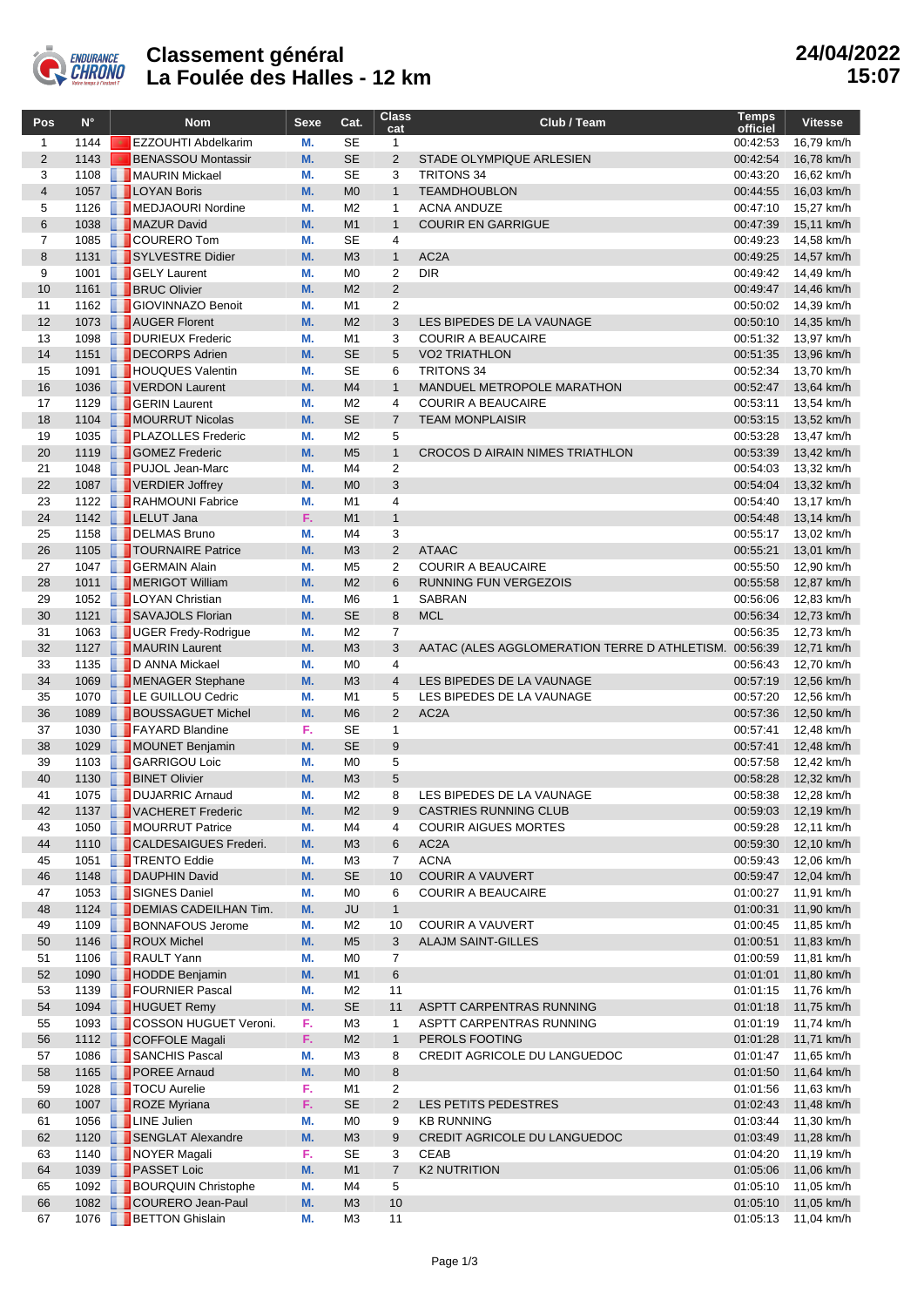

## **Classement général La Foulée des Halles - 12 km**

| Pos            | $N^{\circ}$  |   | <b>Nom</b>                                        | Sexe     | Cat.                             | <b>Class</b><br>cat | Club / Team                                           | <b>Temps</b><br>officiel | <b>Vitesse</b>           |
|----------------|--------------|---|---------------------------------------------------|----------|----------------------------------|---------------------|-------------------------------------------------------|--------------------------|--------------------------|
| $\mathbf{1}$   | 1144         |   | EZZOUHTI Abdelkarim                               | М.       | <b>SE</b>                        | $\mathbf{1}$        |                                                       | 00:42:53                 | 16,79 km/h               |
| $\mathbf{2}$   | 1143         |   | <b>BENASSOU Montassir</b>                         | M.       | <b>SE</b>                        | $\overline{2}$      | STADE OLYMPIQUE ARLESIEN                              | 00:42:54                 | 16,78 km/h               |
| 3              | 1108         |   | MAURIN Mickael                                    | М.       | <b>SE</b>                        | 3                   | <b>TRITONS 34</b>                                     | 00:43:20                 | 16,62 km/h               |
| $\overline{4}$ | 1057         |   | <b>LOYAN Boris</b>                                | M.       | M <sub>0</sub>                   | $\mathbf{1}$        | <b>TEAMDHOUBLON</b>                                   | 00:44:55                 | 16,03 km/h               |
| 5<br>6         | 1126<br>1038 |   | MEDJAOURI Nordine                                 | М.<br>M. | M <sub>2</sub><br>M1             | 1<br>$\mathbf{1}$   | <b>ACNA ANDUZE</b><br><b>COURIR EN GARRIGUE</b>       | 00:47:10<br>00:47:39     | 15,27 km/h               |
| $\overline{7}$ | 1085         |   | MAZUR David<br><b>COURERO Tom</b>                 | М.       | <b>SE</b>                        | 4                   |                                                       | 00:49:23                 | 15,11 km/h<br>14,58 km/h |
| 8              | 1131         |   | SYLVESTRE Didier                                  | M.       | M <sub>3</sub>                   | $\mathbf{1}$        | AC <sub>2</sub> A                                     | 00:49:25                 | 14,57 km/h               |
| 9              | 1001         |   | <b>GELY Laurent</b>                               | М.       | M <sub>0</sub>                   | 2                   | <b>DIR</b>                                            | 00:49:42                 | 14,49 km/h               |
| 10             | 1161         |   | <b>BRUC Olivier</b>                               | M.       | M <sub>2</sub>                   | $\overline{2}$      |                                                       | 00:49:47                 | 14,46 km/h               |
| 11             | 1162         |   | <b>GIOVINNAZO Benoit</b>                          | М.       | M1                               | $\overline{2}$      |                                                       | 00:50:02                 | 14,39 km/h               |
| 12             | 1073         |   | AUGER Florent                                     | M.       | M <sub>2</sub>                   | 3                   | LES BIPEDES DE LA VAUNAGE                             | 00:50:10                 | 14,35 km/h               |
| 13             | 1098         |   | DURIEUX Frederic                                  | М.       | M1                               | 3                   | <b>COURIR A BEAUCAIRE</b>                             | 00:51:32                 | 13,97 km/h               |
| 14             | 1151         |   | DECORPS Adrien                                    | M.       | <b>SE</b>                        | 5                   | <b>VO2 TRIATHLON</b>                                  | 00:51:35                 | 13,96 km/h               |
| 15             | 1091         |   | <b>HOUQUES Valentin</b>                           | М.       | <b>SE</b>                        | 6                   | <b>TRITONS 34</b>                                     | 00:52:34                 | 13,70 km/h               |
| 16             | 1036         |   | VERDON Laurent                                    | M.       | M <sub>4</sub>                   | $\mathbf{1}$        | MANDUEL METROPOLE MARATHON                            | 00:52:47                 | 13,64 km/h               |
| 17<br>18       | 1129         |   | <b>GERIN</b> Laurent<br>1104   MOURRUT Nicolas    | М.<br>M. | M <sub>2</sub><br><b>SE</b>      | 4<br>$\overline{7}$ | <b>COURIR A BEAUCAIRE</b><br><b>TEAM MONPLAISIR</b>   | 00:53:11<br>00:53:15     | 13,54 km/h<br>13,52 km/h |
| 19             | 1035         |   | <b>PLAZOLLES</b> Frederic                         | М.       | M <sub>2</sub>                   | 5                   |                                                       | 00:53:28                 | 13,47 km/h               |
| 20             | 1119         |   | GOMEZ Frederic                                    | M.       | M <sub>5</sub>                   | $\mathbf{1}$        | CROCOS D AIRAIN NIMES TRIATHLON                       | 00:53:39                 | 13,42 km/h               |
| 21             | 1048         |   | PUJOL Jean-Marc                                   | М.       | M <sub>4</sub>                   | $\overline{2}$      |                                                       | 00:54:03                 | 13,32 km/h               |
| 22             |              |   | 1087 VERDIER Joffrey                              | M.       | M <sub>0</sub>                   | 3                   |                                                       | 00:54:04                 | 13,32 km/h               |
| 23             | 1122         |   | RAHMOUNI Fabrice                                  | М.       | M1                               | 4                   |                                                       | 00:54:40                 | 13,17 km/h               |
| 24             | 1142         |   | <b>LELUT Jana</b>                                 | F.       | M1                               | $\mathbf{1}$        |                                                       | 00:54:48                 | 13,14 km/h               |
| 25             | 1158         |   | DELMAS Bruno                                      | М.       | M4                               | 3                   |                                                       | 00:55:17                 | 13,02 km/h               |
| 26             | 1105         |   | <b>TOURNAIRE Patrice</b>                          | M.       | M <sub>3</sub>                   | $\overline{2}$      | <b>ATAAC</b>                                          | 00:55:21                 | 13,01 km/h               |
| 27             | 1047         |   | <b>GERMAIN Alain</b>                              | М.       | M <sub>5</sub>                   | $\overline{2}$      | <b>COURIR A BEAUCAIRE</b>                             | 00:55:50                 | 12,90 km/h               |
| 28<br>29       | 1011<br>1052 |   | MERIGOT William<br><b>LOYAN Christian</b>         | M.<br>М. | M <sub>2</sub><br>M <sub>6</sub> | 6<br>1              | <b>RUNNING FUN VERGEZOIS</b><br><b>SABRAN</b>         | 00:55:58<br>00:56:06     | 12,87 km/h<br>12,83 km/h |
| 30             | 1121         |   | SAVAJOLS Florian                                  | M.       | <b>SE</b>                        | 8                   | <b>MCL</b>                                            | 00:56:34                 | 12,73 km/h               |
| 31             | 1063         |   | UGER Fredy-Rodrigue                               | М.       | M <sub>2</sub>                   | $\overline{7}$      |                                                       | 00:56:35                 | 12,73 km/h               |
| 32             | 1127         |   | MAURIN Laurent                                    | M.       | M <sub>3</sub>                   | 3                   | AATAC (ALES AGGLOMERATION TERRE D ATHLETISM. 00:56:39 |                          | 12,71 km/h               |
| 33             | 1135         |   | D ANNA Mickael                                    | М.       | M <sub>0</sub>                   | 4                   |                                                       | 00:56:43                 | 12,70 km/h               |
| 34             | 1069         |   | MENAGER Stephane                                  | M.       | M <sub>3</sub>                   | $\overline{4}$      | LES BIPEDES DE LA VAUNAGE                             | 00:57:19                 | 12,56 km/h               |
| 35             | 1070         |   | <b>EXECUTE GUILLOU Cedric</b>                     | М.       | M1                               | 5                   | LES BIPEDES DE LA VAUNAGE                             | 00:57:20                 | 12,56 km/h               |
| 36             | 1089         |   | <b>BOUSSAGUET Michel</b>                          | M.       | M <sub>6</sub>                   | $\overline{2}$      | AC <sub>2</sub> A                                     | 00:57:36                 | 12,50 km/h               |
| 37             | 1030         |   | FAYARD Blandine                                   | F.       | <b>SE</b>                        | 1                   |                                                       | 00:57:41                 | 12,48 km/h               |
| 38             | 1029         |   | MOUNET Benjamin                                   | M.       | <b>SE</b>                        | 9                   |                                                       | 00:57:41                 | 12,48 km/h               |
| 39<br>40       | 1103<br>1130 | ш | <b>GARRIGOU Loic</b><br><b>BINET Olivier</b>      | М.<br>M. | M <sub>0</sub><br>M <sub>3</sub> | 5<br>5              |                                                       | 00:57:58<br>00:58:28     | 12,42 km/h<br>12,32 km/h |
| 41             | 1075         |   | <b>DUJARRIC Arnaud</b>                            | М.       | M <sub>2</sub>                   | 8                   | LES BIPEDES DE LA VAUNAGE                             | 00:58:38                 | 12,28 km/h               |
| 42             |              |   | 1137 VACHERET Frederic                            | M.       | M <sub>2</sub>                   | 9                   | CASTRIES RUNNING CLUB                                 | 00:59:03                 | 12,19 km/h               |
| 43             | 1050         |   | MOURRUT Patrice                                   | М.       | M4                               | 4                   | <b>COURIR AIGUES MORTES</b>                           | 00:59:28                 | 12,11 km/h               |
| 44             | 1110         |   | CALDESAIGUES Frederi.                             | M.       | M3                               | 6                   | AC <sub>2</sub> A                                     | 00:59:30                 | 12,10 km/h               |
| 45             | 1051         |   | <b>TRENTO Eddie</b>                               | М.       | M <sub>3</sub>                   | $\overline{7}$      | <b>ACNA</b>                                           | 00:59:43                 | 12,06 km/h               |
| 46             |              |   | 1148 B DAUPHIN David                              | M.       | <b>SE</b>                        | 10                  | <b>COURIR A VAUVERT</b>                               | 00:59:47                 | 12,04 km/h               |
| 47             |              |   | 1053   SIGNES Daniel                              | М.       | M <sub>0</sub>                   | 6                   | <b>COURIR A BEAUCAIRE</b>                             | 01:00:27                 | 11,91 km/h               |
| 48             |              |   | 1124 <b>DEMIAS CADEILHAN Tim.</b>                 | M.       | JU                               | $\mathbf{1}$        |                                                       | 01:00:31                 | 11,90 km/h               |
| 49             | 1109         |   | <b>BONNAFOUS Jerome</b>                           | М.       | M <sub>2</sub>                   | 10                  | <b>COURIR A VAUVERT</b>                               | 01:00:45                 | 11,85 km/h               |
| 50<br>51       |              |   | 1146 <b>ROUX</b> Michel<br>1106 <b>RAULT</b> Yann | M.<br>М. | M <sub>5</sub><br>M <sub>0</sub> | 3<br>7              | <b>ALAJM SAINT-GILLES</b>                             | 01:00:51<br>01:00:59     | 11,83 km/h<br>11,81 km/h |
| 52             | 1090         |   | <b>HODDE Benjamin</b>                             | M.       | M1                               | 6                   |                                                       | 01:01:01                 | 11,80 km/h               |
| 53             | 1139         |   | FOURNIER Pascal                                   | М.       | M <sub>2</sub>                   | 11                  |                                                       | 01:01:15                 | 11,76 km/h               |
| 54             |              |   | 1094 HUGUET Remy                                  | M.       | <b>SE</b>                        | 11                  | ASPTT CARPENTRAS RUNNING                              | 01:01:18                 | 11,75 km/h               |
| 55             |              |   | 1093 COSSON HUGUET Veroni.                        | F.       | M <sub>3</sub>                   | 1                   | ASPTT CARPENTRAS RUNNING                              | 01:01:19                 | 11,74 km/h               |
| 56             |              |   | 1112 COFFOLE Magali                               | F.       | M <sub>2</sub>                   | $\mathbf{1}$        | PEROLS FOOTING                                        | 01:01:28                 | 11,71 km/h               |
| 57             | 1086         |   | SANCHIS Pascal                                    | М.       | MЗ                               | 8                   | CREDIT AGRICOLE DU LANGUEDOC                          | 01:01:47                 | 11,65 km/h               |
| 58             |              |   | 1165 POREE Arnaud                                 | M.       | M <sub>0</sub>                   | 8                   |                                                       | 01:01:50                 | 11,64 km/h               |
| 59             |              |   | 1028   TOCU Aurelie                               | F.       | M1                               | 2                   |                                                       | 01:01:56                 | 11,63 km/h               |
| 60             | 1007         |   | ROZE Myriana                                      | F.       | <b>SE</b>                        | $\overline{2}$      | LES PETITS PEDESTRES                                  | 01:02:43                 | 11,48 km/h               |
| 61<br>62       | 1056         |   | <b>TELINE Julien</b><br>1120   SENGLAT Alexandre  | М.<br>M. | M <sub>0</sub><br>M <sub>3</sub> | 9<br>9              | <b>KB RUNNING</b>                                     | 01:03:44                 | 11,30 km/h               |
| 63             |              |   | 1140 NOYER Magali                                 | F.       | <b>SE</b>                        | 3                   | CREDIT AGRICOLE DU LANGUEDOC<br>CEAB                  | 01:03:49<br>01:04:20     | 11,28 km/h<br>11,19 km/h |
| 64             |              |   | 1039 PASSET Loic                                  | M.       | M1                               | $\overline{7}$      | <b>K2 NUTRITION</b>                                   | 01:05:06                 | 11,06 km/h               |
| 65             | 1092         |   | <b>BOURQUIN Christophe</b>                        | М.       | M4                               | 5                   |                                                       | 01:05:10                 | 11,05 km/h               |
| 66             |              |   | 1082 COURERO Jean-Paul                            | M.       | M <sub>3</sub>                   | 10                  |                                                       | 01:05:10                 | 11,05 km/h               |
| 67             |              |   | 1076 <b>BETTON</b> Ghislain                       | М.       | M <sub>3</sub>                   | 11                  |                                                       | 01:05:13                 | 11,04 km/h               |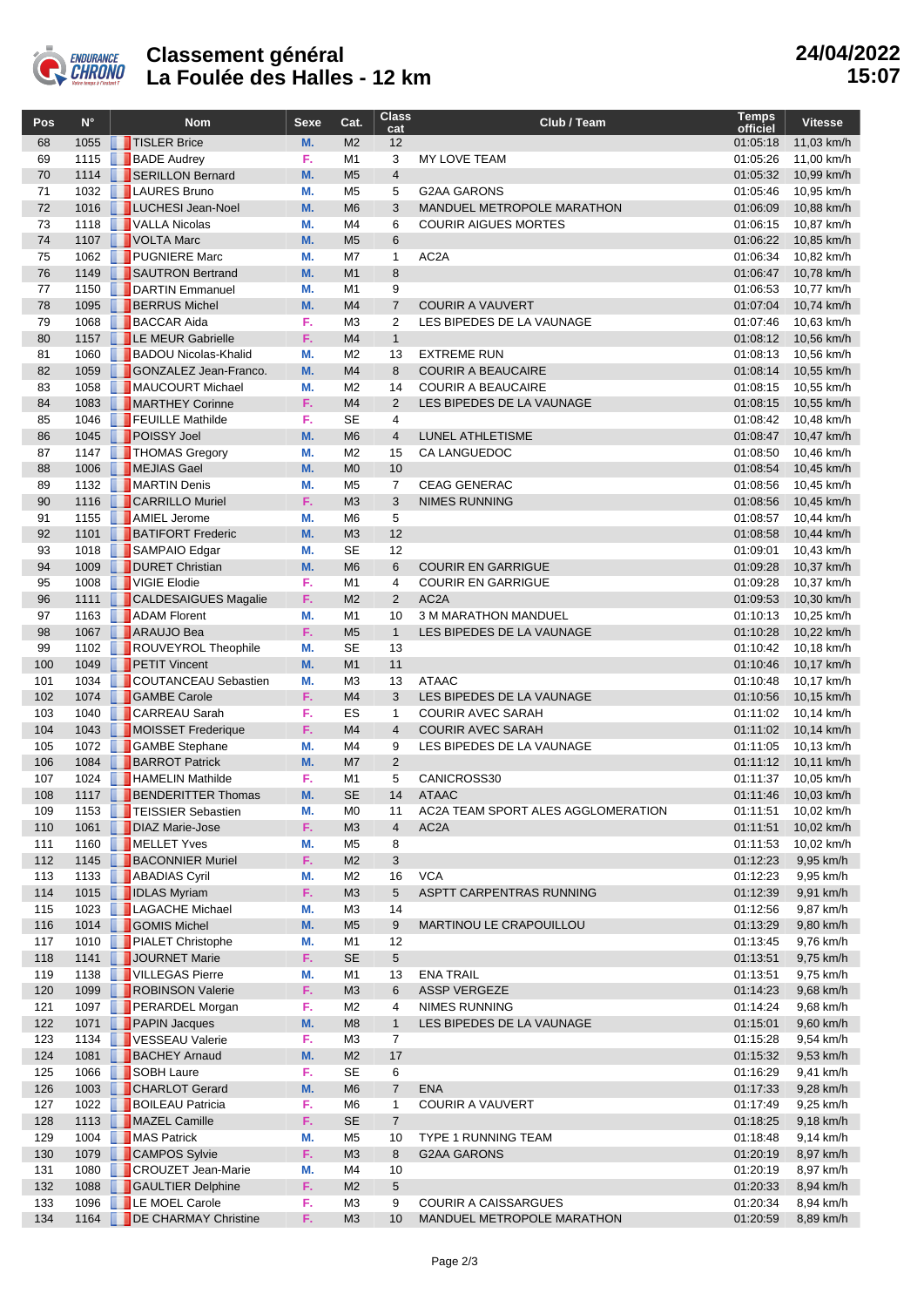

## **Classement général La Foulée des Halles - 12 km**

| Pos        | $N^{\circ}$ | <b>Nom</b>                                           | <b>Sexe</b> | Cat.                             | <b>Class</b><br>cat            | Club / Team                                           | <b>Temps</b><br>officiel | <b>Vitesse</b>           |
|------------|-------------|------------------------------------------------------|-------------|----------------------------------|--------------------------------|-------------------------------------------------------|--------------------------|--------------------------|
| 68         | 1055        | TISLER Brice                                         | M.          | M <sub>2</sub>                   | 12                             |                                                       | 01:05:18                 | 11,03 km/h               |
| 69         | 1115        | <b>BADE</b> Audrey                                   | F.          | M1                               | 3                              | MY LOVE TEAM                                          | 01:05:26                 | 11,00 km/h               |
| 70         |             | 1114   SERILLON Bernard                              | M.          | M <sub>5</sub>                   | $\overline{4}$                 |                                                       | 01:05:32                 | 10,99 km/h               |
| 71         |             | 1032   LAURES Bruno                                  | М.          | M <sub>5</sub>                   | 5                              | <b>G2AA GARONS</b>                                    | 01:05:46                 | 10,95 km/h               |
| 72         | 1016        | LUCHESI Jean-Noel                                    | M.          | M <sub>6</sub>                   | 3                              | <b>MANDUEL METROPOLE MARATHON</b>                     | 01:06:09                 | 10,88 km/h               |
| 73         | 1118        | VALLA Nicolas                                        | М.          | M4                               | 6                              | <b>COURIR AIGUES MORTES</b>                           | 01:06:15                 | 10,87 km/h               |
| 74         |             | 1107   VOLTA Marc                                    | M.          | M <sub>5</sub>                   | 6                              |                                                       | 01:06:22                 | 10,85 km/h               |
| 75<br>76   |             | 1062 PUGNIERE Marc<br>1149 <b>B</b> SAUTRON Bertrand | М.<br>M.    | M7<br>M <sub>1</sub>             | 1<br>8                         | AC <sub>2</sub> A                                     | 01:06:34<br>01:06:47     | 10,82 km/h<br>10,78 km/h |
| 77         |             | 1150 DARTIN Emmanuel                                 | М.          | M <sub>1</sub>                   | 9                              |                                                       | 01:06:53                 | 10,77 km/h               |
| 78         |             | 1095 BERRUS Michel                                   | М.          | M <sub>4</sub>                   | $\overline{7}$                 | <b>COURIR A VAUVERT</b>                               | 01:07:04                 | 10,74 km/h               |
| 79         |             | 1068 BACCAR Aida                                     | F.          | M <sub>3</sub>                   | 2                              | LES BIPEDES DE LA VAUNAGE                             | 01:07:46                 | 10,63 km/h               |
| 80         |             | 1157   LE MEUR Gabrielle                             | F.          | M <sub>4</sub>                   | $\mathbf{1}$                   |                                                       | 01:08:12                 | 10,56 km/h               |
| 81         | 1060        | <b>BADOU Nicolas-Khalid</b>                          | М.          | M <sub>2</sub>                   | 13                             | <b>EXTREME RUN</b>                                    | 01:08:13                 | 10,56 km/h               |
| 82         |             | 1059 GONZALEZ Jean-Franco.                           | M.          | M <sub>4</sub>                   | 8                              | <b>COURIR A BEAUCAIRE</b>                             | 01:08:14                 | 10,55 km/h               |
| 83         |             | 1058 <b>MAUCOURT Michael</b>                         | М.          | M <sub>2</sub>                   | 14                             | <b>COURIR A BEAUCAIRE</b>                             | 01:08:15                 | 10,55 km/h               |
| 84         |             | 1083 MARTHEY Corinne                                 | F.          | M <sub>4</sub>                   | 2                              | LES BIPEDES DE LA VAUNAGE                             | 01:08:15                 | 10,55 km/h               |
| 85         |             | 1046 <b>FEUILLE</b> Mathilde                         | F.          | <b>SE</b>                        | 4                              |                                                       | 01:08:42                 | 10,48 km/h               |
| 86         |             | 1045 POISSY Joel                                     | M.          | M <sub>6</sub>                   | $\overline{4}$                 | <b>LUNEL ATHLETISME</b>                               | 01:08:47                 | 10,47 km/h               |
| 87         |             | 1147 <b>THOMAS Gregory</b>                           | М.          | M <sub>2</sub>                   | 15                             | CA LANGUEDOC                                          | 01:08:50                 | 10,46 km/h               |
| 88         |             | 1006 MEJIAS Gael<br>1132 <b>MARTIN Denis</b>         | M.          | M <sub>0</sub>                   | 10                             |                                                       | 01:08:54                 | 10,45 km/h               |
| 89<br>90   |             | 1116   CARRILLO Muriel                               | М.<br>F.    | M <sub>5</sub><br>M <sub>3</sub> | $\overline{7}$<br>3            | <b>CEAG GENERAC</b><br><b>NIMES RUNNING</b>           | 01:08:56<br>01:08:56     | 10,45 km/h               |
| 91         |             | 1155 <b>AMIEL Jerome</b>                             | М.          | M <sub>6</sub>                   | 5                              |                                                       | 01:08:57                 | 10,45 km/h<br>10,44 km/h |
| 92         |             | 1101 <b>BATIFORT Frederic</b>                        | M.          | M <sub>3</sub>                   | 12                             |                                                       | 01:08:58                 | 10,44 km/h               |
| 93         |             | 1018 SAMPAIO Edgar                                   | М.          | <b>SE</b>                        | 12                             |                                                       | 01:09:01                 | 10,43 km/h               |
| 94         | 1009        | DURET Christian                                      | M.          | M <sub>6</sub>                   | 6                              | <b>COURIR EN GARRIGUE</b>                             | 01:09:28                 | 10,37 km/h               |
| 95         | 1008        | VIGIE Elodie                                         | F.          | M1                               | $\overline{4}$                 | <b>COURIR EN GARRIGUE</b>                             | 01:09:28                 | 10,37 km/h               |
| 96         |             | 1111   CALDESAIGUES Magalie                          | F.          | M <sub>2</sub>                   | 2                              | AC <sub>2</sub> A                                     | 01:09:53                 | 10,30 km/h               |
| 97         | 1163        | <b>ADAM</b> Florent                                  | М.          | M1                               | 10                             | 3 M MARATHON MANDUEL                                  | 01:10:13                 | 10,25 km/h               |
| 98         |             | 1067 <b>ARAUJO Bea</b>                               | F.          | M <sub>5</sub>                   | $\mathbf{1}$                   | LES BIPEDES DE LA VAUNAGE                             | 01:10:28                 | 10,22 km/h               |
| 99         |             | 1102 <b>ROUVEYROL Theophile</b>                      | М.          | <b>SE</b>                        | 13                             |                                                       | 01:10:42                 | 10,18 km/h               |
| 100        |             | 1049 PETIT Vincent                                   | M.          | M <sub>1</sub>                   | 11                             |                                                       | 01:10:46                 | 10,17 km/h               |
| 101        | 1034        | <b>COUTANCEAU Sebastien</b>                          | М.          | M <sub>3</sub>                   | 13                             | <b>ATAAC</b>                                          | 01:10:48                 | 10,17 km/h               |
| 102        |             | 1074 GAMBE Carole                                    | F.          | M <sub>4</sub>                   | 3                              | LES BIPEDES DE LA VAUNAGE<br><b>COURIR AVEC SARAH</b> | 01:10:56                 | 10,15 km/h               |
| 103<br>104 |             | 1040   CARREAU Sarah<br>1043 MOISSET Frederique      | F.<br>F.    | ES<br>M <sub>4</sub>             | $\mathbf{1}$<br>$\overline{4}$ | <b>COURIR AVEC SARAH</b>                              | 01:11:02<br>01:11:02     | 10,14 km/h<br>10,14 km/h |
| 105        |             | 1072 GAMBE Stephane                                  | М.          | M4                               | 9                              | LES BIPEDES DE LA VAUNAGE                             | 01:11:05                 | 10,13 km/h               |
| 106        |             | 1084 <b>BARROT Patrick</b>                           | М.          | M7                               | 2                              |                                                       | 01:11:12                 | 10,11 km/h               |
| 107        |             | 1024 <b>HAMELIN</b> Mathilde                         | F.          | M <sub>1</sub>                   | 5                              | CANICROSS30                                           | 01:11:37                 | 10,05 km/h               |
| 108        |             | 1117   BENDERITTER Thomas                            | M.          | <b>SE</b>                        | 14                             | <b>ATAAC</b>                                          | 01:11:46                 | 10,03 km/h               |
| 109        |             | 1153 <b>TEISSIER Sebastien</b>                       | М.          | M0                               | 11                             | AC2A TEAM SPORT ALES AGGLOMERATION                    | 01:11:51                 | 10,02 km/h               |
| 110        |             | 1061   DIAZ Marie-Jose                               | F.          | M <sub>3</sub>                   | $\overline{4}$                 | AC <sub>2</sub> A                                     | 01:11:51                 | 10,02 km/h               |
| 111        |             | 1160 MELLET Yves                                     | М.          | M <sub>5</sub>                   | 8                              |                                                       | 01:11:53                 | 10,02 km/h               |
| 112        |             | 1145 <b>BACONNIER Muriel</b>                         | F.          | M <sub>2</sub>                   | 3                              |                                                       | 01:12:23                 | 9,95 km/h                |
| 113        |             | 1133 <b>ABADIAS</b> Cyril                            | М.          | M <sub>2</sub>                   | 16                             | <b>VCA</b>                                            | 01:12:23                 | 9,95 km/h                |
| 114        |             | 1015   IDLAS Myriam                                  | F.          | M <sub>3</sub>                   | 5                              | ASPTT CARPENTRAS RUNNING                              | 01:12:39                 | 9,91 km/h                |
| 115        |             | 1023   LAGACHE Michael                               | М.          | M <sub>3</sub>                   | 14                             |                                                       | 01:12:56                 | 9,87 km/h                |
| 116        |             | 1014 GOMIS Michel                                    | M.          | M <sub>5</sub>                   | 9                              | MARTINOU LE CRAPOUILLOU                               | 01:13:29                 | 9,80 km/h                |
| 117        |             | 1010 PIALET Christophe<br>1141 JOURNET Marie         | М.<br>F.    | M1<br><b>SE</b>                  | 12<br>5                        |                                                       | 01:13:45                 | 9,76 km/h                |
| 118<br>119 |             | 1138   VILLEGAS Pierre                               | М.          | M1                               | 13                             | <b>ENA TRAIL</b>                                      | 01:13:51<br>01:13:51     | 9,75 km/h<br>9,75 km/h   |
| 120        |             | 1099 <b>ROBINSON Valerie</b>                         | F.          | M <sub>3</sub>                   | 6                              | <b>ASSP VERGEZE</b>                                   | 01:14:23                 | 9,68 km/h                |
| 121        |             | 1097 PERARDEL Morgan                                 | F.          | M <sub>2</sub>                   | 4                              | NIMES RUNNING                                         | 01:14:24                 | 9,68 km/h                |
| 122        |             | 1071 PAPIN Jacques                                   | M.          | M <sub>8</sub>                   | $\mathbf{1}$                   | LES BIPEDES DE LA VAUNAGE                             | 01:15:01                 | 9,60 km/h                |
| 123        |             | 1134 VESSEAU Valerie                                 | F.          | M <sub>3</sub>                   | $\overline{7}$                 |                                                       | 01:15:28                 | 9,54 km/h                |
| 124        |             | 1081 <b>BACHEY Arnaud</b>                            | M.          | M <sub>2</sub>                   | 17                             |                                                       | 01:15:32                 | 9,53 km/h                |
| 125        |             | 1066 SOBH Laure                                      | F.          | SE                               | 6                              |                                                       | 01:16:29                 | 9,41 km/h                |
| 126        |             | 1003 CHARLOT Gerard                                  | M.          | M <sub>6</sub>                   | $\overline{7}$                 | <b>ENA</b>                                            | 01:17:33                 | 9,28 km/h                |
| 127        |             | 1022 <b>BOILEAU Patricia</b>                         | F.          | M <sub>6</sub>                   | 1                              | <b>COURIR A VAUVERT</b>                               | 01:17:49                 | 9,25 km/h                |
| 128        |             | 1113 MAZEL Camille                                   | F.          | <b>SE</b>                        | $\overline{7}$                 |                                                       | 01:18:25                 | 9,18 km/h                |
| 129        |             | 1004 MAS Patrick                                     | М.          | M <sub>5</sub>                   | 10                             | TYPE 1 RUNNING TEAM                                   | 01:18:48                 | 9,14 km/h                |
| 130        |             | 1079 CAMPOS Sylvie                                   | F.          | M <sub>3</sub>                   | 8                              | <b>G2AA GARONS</b>                                    | 01:20:19                 | 8,97 km/h                |
| 131        |             | 1080 <b>CROUZET</b> Jean-Marie                       | М.          | M4                               | 10                             |                                                       | 01:20:19                 | 8,97 km/h                |
| 132<br>133 |             | 1088 GAULTIER Delphine<br>1096   LE MOEL Carole      | F.<br>F.    | M <sub>2</sub><br>M3             | 5<br>9                         | <b>COURIR A CAISSARGUES</b>                           | 01:20:33<br>01:20:34     | 8,94 km/h<br>8,94 km/h   |
| 134        |             | 1164 DE CHARMAY Christine                            | F.          | M3                               | 10                             | MANDUEL METROPOLE MARATHON                            | 01:20:59                 | 8,89 km/h                |
|            |             |                                                      |             |                                  |                                |                                                       |                          |                          |